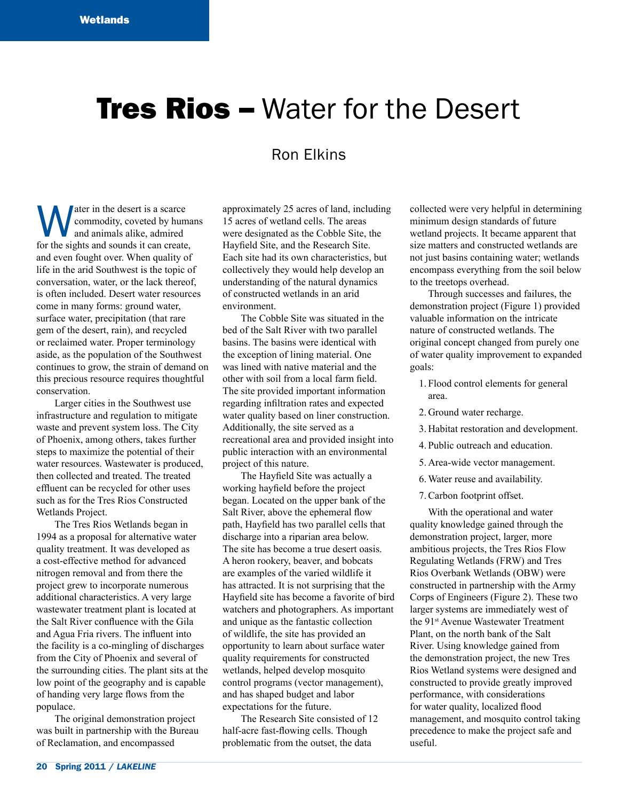# **Tres Rios - Water for the Desert**

# Ron Elkins

**Water in the desert is a scarce commodity, coveted by huma** and animals alike, admired for the sights and sounds it can create, commodity, coveted by humans and animals alike, admired and even fought over. When quality of life in the arid Southwest is the topic of conversation, water, or the lack thereof, is often included. Desert water resources come in many forms: ground water, surface water, precipitation (that rare gem of the desert, rain), and recycled or reclaimed water. Proper terminology aside, as the population of the Southwest continues to grow, the strain of demand on this precious resource requires thoughtful conservation.

Larger cities in the Southwest use infrastructure and regulation to mitigate waste and prevent system loss. The City of Phoenix, among others, takes further steps to maximize the potential of their water resources. Wastewater is produced, then collected and treated. The treated effluent can be recycled for other uses such as for the Tres Rios Constructed Wetlands Project.

The Tres Rios Wetlands began in 1994 as a proposal for alternative water quality treatment. It was developed as a cost-effective method for advanced nitrogen removal and from there the project grew to incorporate numerous additional characteristics. A very large wastewater treatment plant is located at the Salt River confluence with the Gila and Agua Fria rivers. The influent into the facility is a co-mingling of discharges from the City of Phoenix and several of the surrounding cities. The plant sits at the low point of the geography and is capable of handing very large flows from the populace.

The original demonstration project was built in partnership with the Bureau of Reclamation, and encompassed

approximately 25 acres of land, including 15 acres of wetland cells. The areas were designated as the Cobble Site, the Hayfield Site, and the Research Site. Each site had its own characteristics, but collectively they would help develop an understanding of the natural dynamics of constructed wetlands in an arid environment.

The Cobble Site was situated in the bed of the Salt River with two parallel basins. The basins were identical with the exception of lining material. One was lined with native material and the other with soil from a local farm field. The site provided important information regarding infiltration rates and expected water quality based on liner construction. Additionally, the site served as a recreational area and provided insight into public interaction with an environmental project of this nature.

The Hayfield Site was actually a working hayfield before the project began. Located on the upper bank of the Salt River, above the ephemeral flow path, Hayfield has two parallel cells that discharge into a riparian area below. The site has become a true desert oasis. A heron rookery, beaver, and bobcats are examples of the varied wildlife it has attracted. It is not surprising that the Hayfield site has become a favorite of bird watchers and photographers. As important and unique as the fantastic collection of wildlife, the site has provided an opportunity to learn about surface water quality requirements for constructed wetlands, helped develop mosquito control programs (vector management), and has shaped budget and labor expectations for the future.

The Research Site consisted of 12 half-acre fast-flowing cells. Though problematic from the outset, the data

collected were very helpful in determining minimum design standards of future wetland projects. It became apparent that size matters and constructed wetlands are not just basins containing water; wetlands encompass everything from the soil below to the treetops overhead.

Through successes and failures, the demonstration project (Figure 1) provided valuable information on the intricate nature of constructed wetlands. The original concept changed from purely one of water quality improvement to expanded goals:

- 1. Flood control elements for general area.
- 2. Ground water recharge.
- 3. Habitat restoration and development.
- 4. Public outreach and education.
- 5. Area-wide vector management.
- 6.Water reuse and availability.
- 7.Carbon footprint offset.

With the operational and water quality knowledge gained through the demonstration project, larger, more ambitious projects, the Tres Rios Flow Regulating Wetlands (FRW) and Tres Rios Overbank Wetlands (OBW) were constructed in partnership with the Army Corps of Engineers (Figure 2). These two larger systems are immediately west of the 91st Avenue Wastewater Treatment Plant, on the north bank of the Salt River. Using knowledge gained from the demonstration project, the new Tres Rios Wetland systems were designed and constructed to provide greatly improved performance, with considerations for water quality, localized flood management, and mosquito control taking precedence to make the project safe and useful.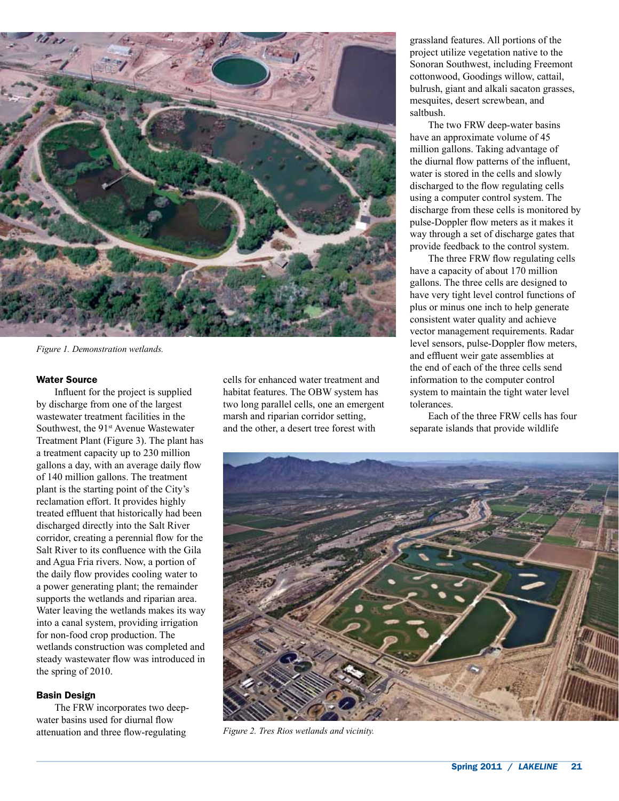

*Figure 1. Demonstration wetlands.*

#### Water Source

Influent for the project is supplied by discharge from one of the largest wastewater treatment facilities in the Southwest, the 91<sup>st</sup> Avenue Wastewater Treatment Plant (Figure 3). The plant has a treatment capacity up to 230 million gallons a day, with an average daily flow of 140 million gallons. The treatment plant is the starting point of the City's reclamation effort. It provides highly treated effluent that historically had been discharged directly into the Salt River corridor, creating a perennial flow for the Salt River to its confluence with the Gila and Agua Fria rivers. Now, a portion of the daily flow provides cooling water to a power generating plant; the remainder supports the wetlands and riparian area. Water leaving the wetlands makes its way into a canal system, providing irrigation for non-food crop production. The wetlands construction was completed and steady wastewater flow was introduced in the spring of 2010.

# Basin Design

The FRW incorporates two deepwater basins used for diurnal flow attenuation and three flow-regulating

cells for enhanced water treatment and habitat features. The OBW system has two long parallel cells, one an emergent marsh and riparian corridor setting, and the other, a desert tree forest with

grassland features. All portions of the project utilize vegetation native to the Sonoran Southwest, including Freemont cottonwood, Goodings willow, cattail, bulrush, giant and alkali sacaton grasses, mesquites, desert screwbean, and saltbush.

The two FRW deep-water basins have an approximate volume of 45 million gallons. Taking advantage of the diurnal flow patterns of the influent, water is stored in the cells and slowly discharged to the flow regulating cells using a computer control system. The discharge from these cells is monitored by pulse-Doppler flow meters as it makes it way through a set of discharge gates that provide feedback to the control system.

The three FRW flow regulating cells have a capacity of about 170 million gallons. The three cells are designed to have very tight level control functions of plus or minus one inch to help generate consistent water quality and achieve vector management requirements. Radar level sensors, pulse-Doppler flow meters, and effluent weir gate assemblies at the end of each of the three cells send information to the computer control system to maintain the tight water level tolerances.

Each of the three FRW cells has four separate islands that provide wildlife



*Figure 2. Tres Rios wetlands and vicinity.*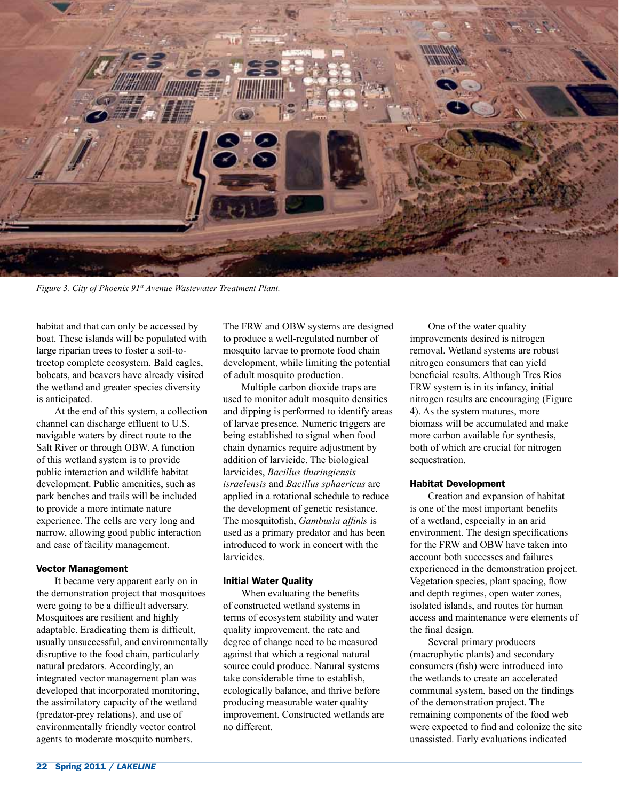

*Figure 3. City of Phoenix 91st Avenue Wastewater Treatment Plant.*

habitat and that can only be accessed by boat. These islands will be populated with large riparian trees to foster a soil-totreetop complete ecosystem. Bald eagles, bobcats, and beavers have already visited the wetland and greater species diversity is anticipated.

At the end of this system, a collection channel can discharge effluent to U.S. navigable waters by direct route to the Salt River or through OBW. A function of this wetland system is to provide public interaction and wildlife habitat development. Public amenities, such as park benches and trails will be included to provide a more intimate nature experience. The cells are very long and narrow, allowing good public interaction and ease of facility management.

#### Vector Management

It became very apparent early on in the demonstration project that mosquitoes were going to be a difficult adversary. Mosquitoes are resilient and highly adaptable. Eradicating them is difficult, usually unsuccessful, and environmentally disruptive to the food chain, particularly natural predators. Accordingly, an integrated vector management plan was developed that incorporated monitoring, the assimilatory capacity of the wetland (predator-prey relations), and use of environmentally friendly vector control agents to moderate mosquito numbers.

The FRW and OBW systems are designed to produce a well-regulated number of mosquito larvae to promote food chain development, while limiting the potential of adult mosquito production.

Multiple carbon dioxide traps are used to monitor adult mosquito densities and dipping is performed to identify areas of larvae presence. Numeric triggers are being established to signal when food chain dynamics require adjustment by addition of larvicide. The biological larvicides, *Bacillus thuringiensis israelensis* and *Bacillus sphaericus* are applied in a rotational schedule to reduce the development of genetic resistance. The mosquitofish, *Gambusia affinis* is used as a primary predator and has been introduced to work in concert with the larvicides.

#### Initial Water Quality

When evaluating the benefits of constructed wetland systems in terms of ecosystem stability and water quality improvement, the rate and degree of change need to be measured against that which a regional natural source could produce. Natural systems take considerable time to establish, ecologically balance, and thrive before producing measurable water quality improvement. Constructed wetlands are no different.

One of the water quality improvements desired is nitrogen removal. Wetland systems are robust nitrogen consumers that can yield beneficial results. Although Tres Rios FRW system is in its infancy, initial nitrogen results are encouraging (Figure 4). As the system matures, more biomass will be accumulated and make more carbon available for synthesis, both of which are crucial for nitrogen sequestration.

### Habitat Development

Creation and expansion of habitat is one of the most important benefits of a wetland, especially in an arid environment. The design specifications for the FRW and OBW have taken into account both successes and failures experienced in the demonstration project. Vegetation species, plant spacing, flow and depth regimes, open water zones, isolated islands, and routes for human access and maintenance were elements of the final design.

Several primary producers (macrophytic plants) and secondary consumers (fish) were introduced into the wetlands to create an accelerated communal system, based on the findings of the demonstration project. The remaining components of the food web were expected to find and colonize the site unassisted. Early evaluations indicated